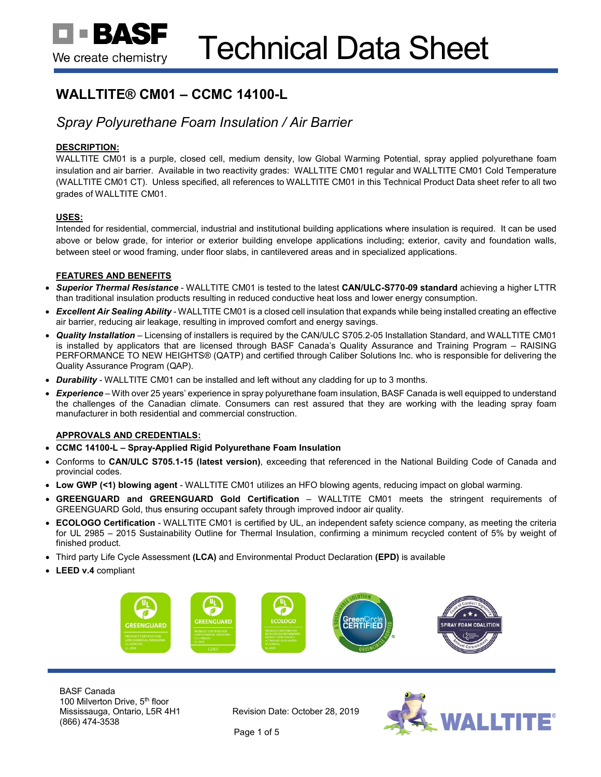# **WALLTITE® CM01 – CCMC 14100-L**

## *Spray Polyurethane Foam Insulation / Air Barrier*

## **DESCRIPTION:**

WALLTITE CM01 is a purple, closed cell, medium density, low Global Warming Potential, spray applied polyurethane foam insulation and air barrier. Available in two reactivity grades: WALLTITE CM01 regular and WALLTITE CM01 Cold Temperature (WALLTITE CM01 CT). Unless specified, all references to WALLTITE CM01 in this Technical Product Data sheet refer to all two grades of WALLTITE CM01.

## **USES:**

Intended for residential, commercial, industrial and institutional building applications where insulation is required. It can be used above or below grade, for interior or exterior building envelope applications including; exterior, cavity and foundation walls, between steel or wood framing, under floor slabs, in cantilevered areas and in specialized applications.

## **FEATURES AND BENEFITS**

- *Superior Thermal Resistance* WALLTITE CM01 is tested to the latest **CAN/ULC-S770-09 standard** achieving a higher LTTR than traditional insulation products resulting in reduced conductive heat loss and lower energy consumption.
- *Excellent Air Sealing Ability* WALLTITE CM01 is a closed cell insulation that expands while being installed creating an effective air barrier, reducing air leakage, resulting in improved comfort and energy savings.
- *Quality Installation* Licensing of installers is required by the CAN/ULC S705.2-05 Installation Standard, and WALLTITE CM01 is installed by applicators that are licensed through BASF Canada's Quality Assurance and Training Program – RAISING PERFORMANCE TO NEW HEIGHTS® (QATP) and certified through Caliber Solutions Inc. who is responsible for delivering the Quality Assurance Program (QAP).
- *Durability* WALLTITE CM01 can be installed and left without any cladding for up to 3 months.
- *Experience* With over 25 years' experience in spray polyurethane foam insulation, BASF Canada is well equipped to understand the challenges of the Canadian climate. Consumers can rest assured that they are working with the leading spray foam manufacturer in both residential and commercial construction.

## **APPROVALS AND CREDENTIALS:**

- **CCMC 14100-L – Spray-Applied Rigid Polyurethane Foam Insulation**
- Conforms to **CAN/ULC S705.1-15 (latest version)**, exceeding that referenced in the National Building Code of Canada and provincial codes.
- **Low GWP (<1) blowing agent** WALLTITE CM01 utilizes an HFO blowing agents, reducing impact on global warming.
- **GREENGUARD and GREENGUARD Gold Certification** WALLTITE CM01 meets the stringent requirements of GREENGUARD Gold, thus ensuring occupant safety through improved indoor air quality.
- **ECOLOGO Certification** WALLTITE CM01 is certified by UL, an independent safety science company, as meeting the criteria for UL 2985 – 2015 Sustainability Outline for Thermal Insulation, confirming a minimum recycled content of 5% by weight of finished product.
- Third party Life Cycle Assessment **(LCA)** and Environmental Product Declaration **(EPD)** is available
- **LEED v.4** compliant



BASF Canada 100 Milverton Drive, 5<sup>th</sup> floor Mississauga, Ontario, L5R 4H1 (866) 474-3538

Revision Date: October 28, 2019



Page 1 of 5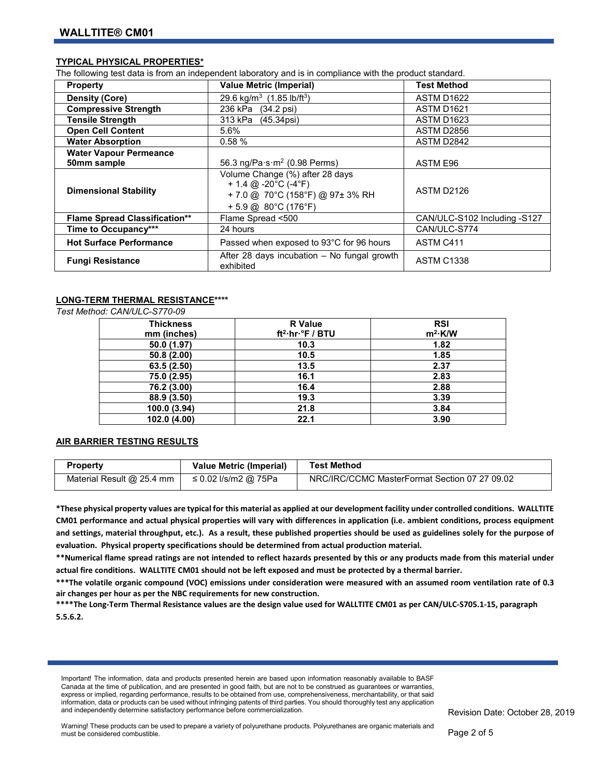## **TYPICAL PHYSICAL PROPERTIES\***

The following test data is from an independent laboratory and is in compliance with the product standard.

| <b>Property</b>                      | <b>Value Metric (Imperial)</b>                                                                                                           | <b>Test Method</b>           |
|--------------------------------------|------------------------------------------------------------------------------------------------------------------------------------------|------------------------------|
| <b>Density (Core)</b>                | 29.6 kg/m <sup>3</sup> (1.85 lb/ft <sup>3</sup> )                                                                                        | <b>ASTM D1622</b>            |
| <b>Compressive Strength</b>          | 236 kPa<br>$(34.2 \,\text{psi})$                                                                                                         | ASTM D1621                   |
| <b>Tensile Strength</b>              | 313 kPa (45.34psi)                                                                                                                       | ASTM D1623                   |
| <b>Open Cell Content</b>             | 5.6%                                                                                                                                     | ASTM D2856                   |
| <b>Water Absorption</b>              | 0.58%                                                                                                                                    | ASTM D2842                   |
| <b>Water Vapour Permeance</b>        |                                                                                                                                          |                              |
| 50mm sample                          | 56.3 ng/Pa $\cdot$ s $\cdot$ m <sup>2</sup> (0.98 Perms)                                                                                 | ASTM E96                     |
| <b>Dimensional Stability</b>         | Volume Change (%) after 28 days<br>+ 1.4 @ -20 $^{\circ}$ C (-4 $^{\circ}$ F)<br>+7.0 @ 70°C (158°F) @ 97±3% RH<br>$+5.9$ @ 80°C (176°F) | ASTM D2126                   |
| <b>Flame Spread Classification**</b> | Flame Spread <500                                                                                                                        | CAN/ULC-S102 Including -S127 |
| Time to Occupancy***                 | 24 hours                                                                                                                                 | CAN/ULC-S774                 |
| <b>Hot Surface Performance</b>       | Passed when exposed to 93°C for 96 hours                                                                                                 | ASTM C411                    |
| <b>Fungi Resistance</b>              | After 28 days incubation - No fungal growth<br>exhibited                                                                                 | <b>ASTM C1338</b>            |

#### **LONG-TERM THERMAL RESISTANCE\*\*\*\***

*Test Method: CAN/ULC-S770-09*

| <b>Thickness</b><br>mm (inches) | <b>R</b> Value<br>$ft^2\cdot hr\cdot^{\circ}F / BTU$ | <b>RSI</b><br>$m^2$ ·K/W |
|---------------------------------|------------------------------------------------------|--------------------------|
| 50.0 (1.97)                     | 10.3                                                 | 1.82                     |
| 50.8(2.00)                      | 10.5                                                 | 1.85                     |
| 63.5 (2.50)                     | 13.5                                                 | 2.37                     |
| 75.0 (2.95)                     | 16.1                                                 | 2.83                     |
| 76.2 (3.00)                     | 16.4                                                 | 2.88                     |
| 88.9 (3.50)                     | 19.3                                                 | 3.39                     |
| 100.0 (3.94)                    | 21.8                                                 | 3.84                     |
| 102.0 (4.00)                    | 22.1                                                 | 3.90                     |

## **AIR BARRIER TESTING RESULTS**

| <b>Property</b>             | <b>Value Metric (Imperial)</b> | <b>Test Method</b>                            |
|-----------------------------|--------------------------------|-----------------------------------------------|
| Material Result $@$ 25.4 mm | ≤ 0.02 l/s/m2 @ 75Pa           | NRC/IRC/CCMC MasterFormat Section 07 27 09.02 |

**\*These physical property values are typical for this material as applied at our development facility under controlled conditions. WALLTITE CM01 performance and actual physical properties will vary with differences in application (i.e. ambient conditions, process equipment and settings, material throughput, etc.). As a result, these published properties should be used as guidelines solely for the purpose of evaluation. Physical property specifications should be determined from actual production material.** 

**\*\*Numerical flame spread ratings are not intended to reflect hazards presented by this or any products made from this material under actual fire conditions. WALLTITE CM01 should not be left exposed and must be protected by a thermal barrier.** 

**\*\*\*The volatile organic compound (VOC) emissions under consideration were measured with an assumed room ventilation rate of 0.3 air changes per hour as per the NBC requirements for new construction.**

**\*\*\*\*The Long-Term Thermal Resistance values are the design value used for WALLTITE CM01 as per CAN/ULC-S705.1-15, paragraph 5.5.6.2.** 

Important! The information, data and products presented herein are based upon information reasonably available to BASF Canada at the time of publication, and are presented in good faith, but are not to be construed as guarantees or warranties, express or implied, regarding performance, results to be obtained from use, comprehensiveness, merchantability, or that said information, data or products can be used without infringing patents of third parties. You should thoroughly test any application and independently determine satisfactory performance before commercialization.

Revision Date: October 28, 2019

Warning! These products can be used to prepare a variety of polyurethane products. Polyurethanes are organic materials and must be considered combustible.

Page 2 of 5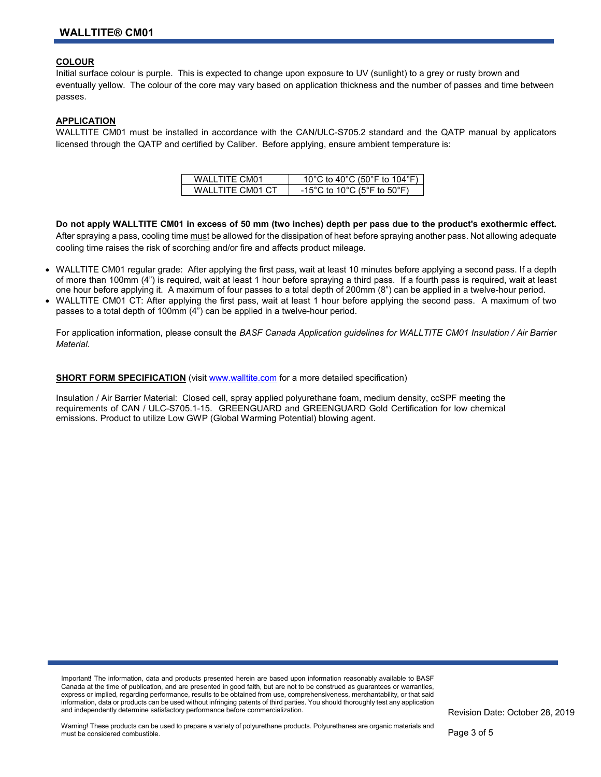## **COLOUR**

Initial surface colour is purple. This is expected to change upon exposure to UV (sunlight) to a grey or rusty brown and eventually yellow. The colour of the core may vary based on application thickness and the number of passes and time between passes.

## **APPLICATION**

WALLTITE CM01 must be installed in accordance with the CAN/ULC-S705.2 standard and the QATP manual by applicators licensed through the QATP and certified by Caliber. Before applying, ensure ambient temperature is:

| WAI I TITF CM01    | 10°C to 40°C (50°F to 104°F) |
|--------------------|------------------------------|
| WAI I TITE CM01 CT | -15°C to 10°C (5°F to 50°F)  |

**Do not apply WALLTITE CM01 in excess of 50 mm (two inches) depth per pass due to the product's exothermic effect.**  After spraying a pass, cooling time must be allowed for the dissipation of heat before spraying another pass. Not allowing adequate cooling time raises the risk of scorching and/or fire and affects product mileage.

- WALLTITE CM01 regular grade: After applying the first pass, wait at least 10 minutes before applying a second pass. If a depth of more than 100mm (4") is required, wait at least 1 hour before spraying a third pass. If a fourth pass is required, wait at least one hour before applying it. A maximum of four passes to a total depth of 200mm (8") can be applied in a twelve-hour period.
- WALLTITE CM01 CT: After applying the first pass, wait at least 1 hour before applying the second pass. A maximum of two passes to a total depth of 100mm (4") can be applied in a twelve-hour period.

For application information, please consult the *BASF Canada Application guidelines for WALLTITE CM01 Insulation / Air Barrier Material*.

**SHORT FORM SPECIFICATION** (visit [www.walltite.com](http://www.walltite.com/) for a more detailed specification)

Insulation / Air Barrier Material: Closed cell, spray applied polyurethane foam, medium density, ccSPF meeting the requirements of CAN / ULC-S705.1-15. GREENGUARD and GREENGUARD Gold Certification for low chemical emissions. Product to utilize Low GWP (Global Warming Potential) blowing agent.

Important! The information, data and products presented herein are based upon information reasonably available to BASF Canada at the time of publication, and are presented in good faith, but are not to be construed as guarantees or warranties, express or implied, regarding performance, results to be obtained from use, comprehensiveness, merchantability, or that said information, data or products can be used without infringing patents of third parties. You should thoroughly test any application and independently determine satisfactory performance before commercialization.

Revision Date: October 28, 2019

Warning! These products can be used to prepare a variety of polyurethane products. Polyurethanes are organic materials and must be considered combustible.

Page 3 of 5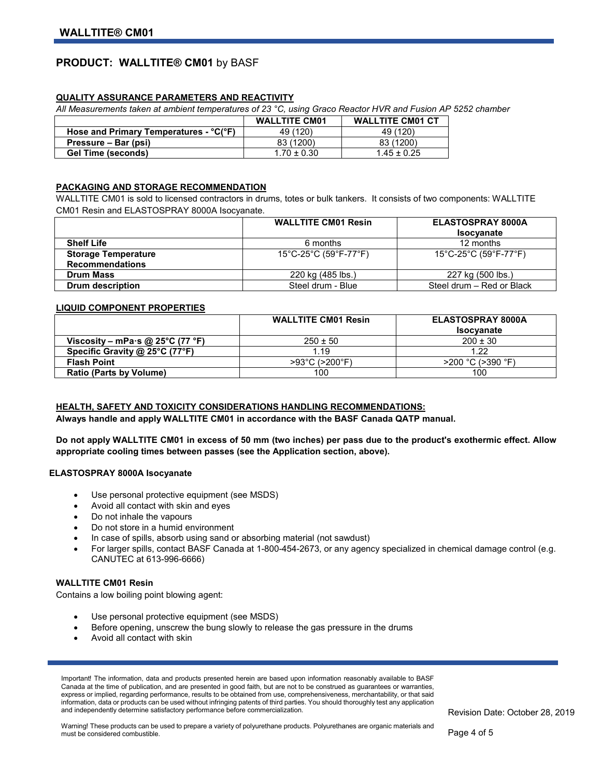## **PRODUCT: WALLTITE® CM01** by BASF

## **QUALITY ASSURANCE PARAMETERS AND REACTIVITY**

*All Measurements taken at ambient temperatures of 23 °C, using Graco Reactor HVR and Fusion AP 5252 chamber* 

|                                        | <b>WALLTITE CM01</b> | <b>WALLTITE CM01 CT</b> |
|----------------------------------------|----------------------|-------------------------|
| Hose and Primary Temperatures - °C(°F) | 49 (120)             | 49 (120)                |
| Pressure – Bar (psi)                   | 83 (1200)            | 83 (1200)               |
| <b>Gel Time (seconds)</b>              | $1.70 \pm 0.30$      | $1.45 \pm 0.25$         |

## **PACKAGING AND STORAGE RECOMMENDATION**

WALLTITE CM01 is sold to licensed contractors in drums, totes or bulk tankers. It consists of two components: WALLTITE CM01 Resin and ELASTOSPRAY 8000A Isocyanate.

|                            | <b>WALLTITE CM01 Resin</b> | ELASTOSPRAY 8000A<br><b>Isocyanate</b>                           |
|----------------------------|----------------------------|------------------------------------------------------------------|
| <b>Shelf Life</b>          | 6 months                   | 12 months                                                        |
| <b>Storage Temperature</b> | 15°C-25°C (59°F-77°F)      | $15^{\circ}$ C-25 $^{\circ}$ C (59 $^{\circ}$ F-77 $^{\circ}$ F) |
| <b>Recommendations</b>     |                            |                                                                  |
| <b>Drum Mass</b>           | 220 kg (485 lbs.)          | 227 kg (500 lbs.)                                                |
| Drum description           | Steel drum - Blue          | Steel drum - Red or Black                                        |

#### **LIQUID COMPONENT PROPERTIES**

|                                  | <b>WALLTITE CM01 Resin</b> | ELASTOSPRAY 8000A |
|----------------------------------|----------------------------|-------------------|
|                                  |                            | <b>Isocyanate</b> |
| Viscosity – mPa·s @ 25°C (77 °F) | $250 \pm 50$               | $200 \pm 30$      |
| Specific Gravity @ 25°C (77°F)   | 1.19                       | 1.22              |
| <b>Flash Point</b>               | >93°C (>200°F)             | >200 °C (>390 °F) |
| <b>Ratio (Parts by Volume)</b>   | 100                        | 100               |

## **HEALTH, SAFETY AND TOXICITY CONSIDERATIONS HANDLING RECOMMENDATIONS:**

**Always handle and apply WALLTITE CM01 in accordance with the BASF Canada QATP manual.**

**Do not apply WALLTITE CM01 in excess of 50 mm (two inches) per pass due to the product's exothermic effect. Allow appropriate cooling times between passes (see the Application section, above).**

#### **ELASTOSPRAY 8000A Isocyanate**

- Use personal protective equipment (see MSDS)
- Avoid all contact with skin and eyes
- Do not inhale the vapours
- Do not store in a humid environment
- In case of spills, absorb using sand or absorbing material (not sawdust)
- For larger spills, contact BASF Canada at 1-800-454-2673, or any agency specialized in chemical damage control (e.g. CANUTEC at 613-996-6666)

#### **WALLTITE CM01 Resin**

Contains a low boiling point blowing agent:

- Use personal protective equipment (see MSDS)
- Before opening, unscrew the bung slowly to release the gas pressure in the drums
- Avoid all contact with skin

Important! The information, data and products presented herein are based upon information reasonably available to BASF Canada at the time of publication, and are presented in good faith, but are not to be construed as guarantees or warranties, express or implied, regarding performance, results to be obtained from use, comprehensiveness, merchantability, or that said information, data or products can be used without infringing patents of third parties. You should thoroughly test any application and independently determine satisfactory performance before commercialization.

Warning! These products can be used to prepare a variety of polyurethane products. Polyurethanes are organic materials and must be considered combustible.

Revision Date: October 28, 2019

Page 4 of 5